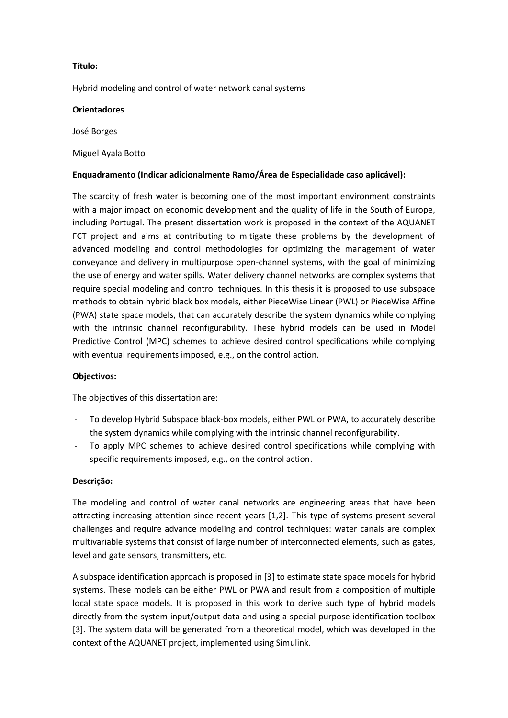# **Título:**

Hybrid modeling and control of water network canal systems

#### **Orientadores**

José Borges

## Miguel Ayala Botto

# **Enquadramento (Indicar adicionalmente Ramo/Área de Especialidade caso aplicável):**

The scarcity of fresh water is becoming one of the most important environment constraints with a major impact on economic development and the quality of life in the South of Europe, including Portugal. The present dissertation work is proposed in the context of the AQUANET FCT project and aims at contributing to mitigate these problems by the development of advanced modeling and control methodologies for optimizing the management of water conveyance and delivery in multipurpose open-channel systems, with the goal of minimizing the use of energy and water spills. Water delivery channel networks are complex systems that require special modeling and control techniques. In this thesis it is proposed to use subspace methods to obtain hybrid black box models, either PieceWise Linear (PWL) or PieceWise Affine (PWA) state space models, that can accurately describe the system dynamics while complying with the intrinsic channel reconfigurability. These hybrid models can be used in Model Predictive Control (MPC) schemes to achieve desired control specifications while complying with eventual requirements imposed, e.g., on the control action.

### **Objectivos:**

The objectives of this dissertation are:

- To develop Hybrid Subspace black-box models, either PWL or PWA, to accurately describe the system dynamics while complying with the intrinsic channel reconfigurability.
- To apply MPC schemes to achieve desired control specifications while complying with specific requirements imposed, e.g., on the control action.

### **Descrição:**

The modeling and control of water canal networks are engineering areas that have been attracting increasing attention since recent years [1,2]. This type of systems present several challenges and require advance modeling and control techniques: water canals are complex multivariable systems that consist of large number of interconnected elements, such as gates, level and gate sensors, transmitters, etc.

A subspace identification approach is proposed in [3] to estimate state space models for hybrid systems. These models can be either PWL or PWA and result from a composition of multiple local state space models. It is proposed in this work to derive such type of hybrid models directly from the system input/output data and using a special purpose identification toolbox [3]. The system data will be generated from a theoretical model, which was developed in the context of the AQUANET project, implemented using Simulink.